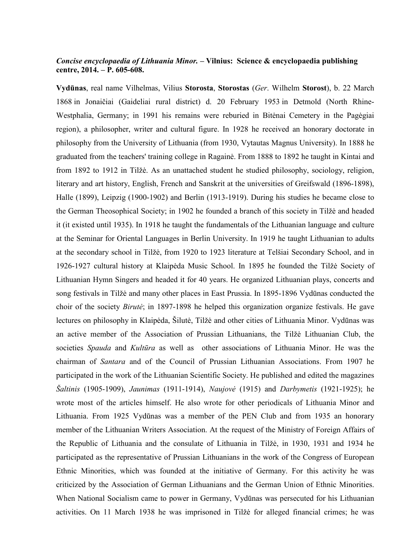## *Concise encyclopaedia of Lithuania Minor. –* **Vilnius: Science & encyclopaedia publishing centre, 2014. – P. 605-608.**

**Vydūnas**, real name Vilhelmas, Vilius **Storosta**, **Storostas** (*Ger*. Wilhelm **Storost**), b. 22 March 1868 in Jonaičiai (Gaideliai rural district) d. 20 February 1953 in Detmold (North Rhine-Westphalia, Germany; in 1991 his remains were reburied in Bitėnai Cemetery in the Pagėgiai region), a philosopher, writer and cultural figure. In 1928 he received an honorary doctorate in philosophy from the University of Lithuania (from 1930, Vytautas Magnus University). In 1888 he graduated from the teachers' training college in Ragainė. From 1888 to 1892 he taught in Kintai and from 1892 to 1912 in Tilžė. As an unattached student he studied philosophy, sociology, religion, literary and art history, English, French and Sanskrit at the universities of Greifswald (1896-1898), Halle (1899), Leipzig (1900-1902) and Berlin (1913-1919). During his studies he became close to the German Theosophical Society; in 1902 he founded a branch of this society in Tilžė and headed it (it existed until 1935). In 1918 he taught the fundamentals of the Lithuanian language and culture at the Seminar for Oriental Languages in Berlin University. In 1919 he taught Lithuanian to adults at the secondary school in Tilžė, from 1920 to 1923 literature at Telšiai Secondary School, and in 1926-1927 cultural history at Klaipėda Music School. In 1895 he founded the Tilžė Society of Lithuanian Hymn Singers and headed it for 40 years. He organized Lithuanian plays, concerts and song festivals in Tilžė and many other places in East Prussia. In 1895-1896 Vydūnas conducted the choir of the society *Birutė*; in 1897-1898 he helped this organization organize festivals. He gave lectures on philosophy in Klaipėda, Šilutė, Tilžė and other cities of Lithuania Minor. Vydūnas was an active member of the Association of Prussian Lithuanians, the Tilžė Lithuanian Club, the societies *Spauda* and *Kultūra* as well as other associations of Lithuania Minor. He was the chairman of *Santara* and of the Council of Prussian Lithuanian Associations. From 1907 he participated in the work of the Lithuanian Scientific Society. He published and edited the magazines *Šaltinis* (1905-1909), *Jaunimas* (1911-1914), *Naujovė* (1915) and *Darbymetis* (1921-1925); he wrote most of the articles himself. He also wrote for other periodicals of Lithuania Minor and Lithuania. From 1925 Vydūnas was a member of the PEN Club and from 1935 an honorary member of the Lithuanian Writers Association. At the request of the Ministry of Foreign Affairs of the Republic of Lithuania and the consulate of Lithuania in Tilžė, in 1930, 1931 and 1934 he participated as the representative of Prussian Lithuanians in the work of the Congress of European Ethnic Minorities, which was founded at the initiative of Germany. For this activity he was criticized by the Association of German Lithuanians and the German Union of Ethnic Minorities. When National Socialism came to power in Germany, Vydūnas was persecuted for his Lithuanian activities. On 11 March 1938 he was imprisoned in Tilžė for alleged financial crimes; he was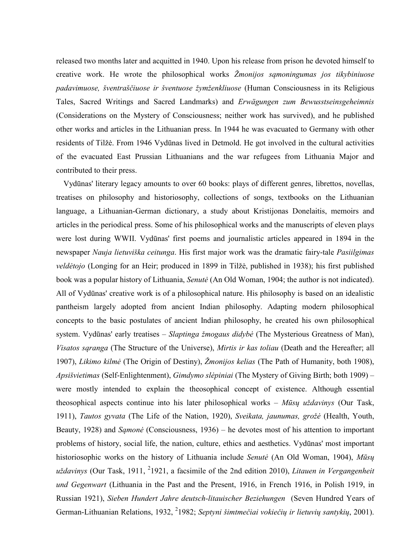released two months later and acquitted in 1940. Upon his release from prison he devoted himself to creative work. He wrote the philosophical works *Žmonijos sąmoningumas jos tikybiniuose padavimuose, šventraščiuose ir šventuose žymženkliuose* (Human Consciousness in its Religious Tales, Sacred Writings and Sacred Landmarks) and *Erwägungen zum Bewusstseinsgeheimnis* (Considerations on the Mystery of Consciousness; neither work has survived), and he published other works and articles in the Lithuanian press. In 1944 he was evacuated to Germany with other residents of Tilžė. From 1946 Vydūnas lived in Detmold. He got involved in the cultural activities of the evacuated East Prussian Lithuanians and the war refugees from Lithuania Major and contributed to their press.

Vydūnas' literary legacy amounts to over 60 books: plays of different genres, librettos, novellas, treatises on philosophy and historiosophy, collections of songs, textbooks on the Lithuanian language, a Lithuanian-German dictionary, a study about Kristijonas Donelaitis, memoirs and articles in the periodical press. Some of his philosophical works and the manuscripts of eleven plays were lost during WWII. Vydūnas' first poems and journalistic articles appeared in 1894 in the newspaper *Nauja lietuviška ceitunga*. His first major work was the dramatic fairy-tale *Pasiilgimas veldėtojo* (Longing for an Heir; produced in 1899 in Tilžė, published in 1938); his first published book was a popular history of Lithuania, *Senutė* (An Old Woman, 1904; the author is not indicated). All of Vydūnas' creative work is of a philosophical nature. His philosophy is based on an idealistic pantheism largely adopted from ancient Indian philosophy. Adapting modern philosophical concepts to the basic postulates of ancient Indian philosophy, he created his own philosophical system. Vydūnas' early treatises – *Slaptinga žmogaus didybė* (The Mysterious Greatness of Man), *Visatos sąranga* (The Structure of the Universe), *Mirtis ir kas toliau* (Death and the Hereafter; all 1907), *Likimo kilmė* (The Origin of Destiny), *Žmonijos kelias* (The Path of Humanity, both 1908), *Apsišvietimas* (Self-Enlightenment), *Gimdymo slėpiniai* (The Mystery of Giving Birth; both 1909) – were mostly intended to explain the theosophical concept of existence. Although essential theosophical aspects continue into his later philosophical works – *Mūsų uždavinys* (Our Task, 1911), *Tautos gyvata* (The Life of the Nation, 1920), *Sveikata, jaunumas, grožė* (Health, Youth, Beauty, 1928) and *Sąmonė* (Consciousness, 1936) – he devotes most of his attention to important problems of history, social life, the nation, culture, ethics and aesthetics. Vydūnas' most important historiosophic works on the history of Lithuania include *Senutė* (An Old Woman, 1904), *Mūsų*  uždavinys (Our Task, 1911, <sup>2</sup>1921, a facsimile of the 2nd edition 2010), *Litauen in Vergangenheit und Gegenwart* (Lithuania in the Past and the Present, 1916, in French 1916, in Polish 1919, in Russian 1921), *Sieben Hundert Jahre deutsch-litauischer Beziehungen* (Seven Hundred Years of German-Lithuanian Relations, 1932, <sup>2</sup>1982; Septyni šimtmečiai vokiečių ir lietuvių santykių, 2001).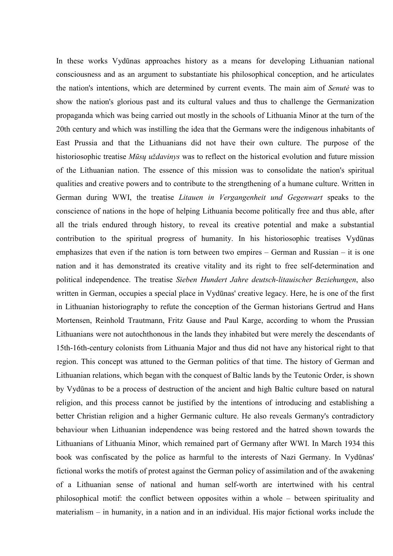In these works Vydūnas approaches history as a means for developing Lithuanian national consciousness and as an argument to substantiate his philosophical conception, and he articulates the nation's intentions, which are determined by current events. The main aim of *Senutė* was to show the nation's glorious past and its cultural values and thus to challenge the Germanization propaganda which was being carried out mostly in the schools of Lithuania Minor at the turn of the 20th century and which was instilling the idea that the Germans were the indigenous inhabitants of East Prussia and that the Lithuanians did not have their own culture. The purpose of the historiosophic treatise *Mūsų uždavinys* was to reflect on the historical evolution and future mission of the Lithuanian nation. The essence of this mission was to consolidate the nation's spiritual qualities and creative powers and to contribute to the strengthening of a humane culture. Written in German during WWI, the treatise *Litauen in Vergangenheit und Gegenwart* speaks to the conscience of nations in the hope of helping Lithuania become politically free and thus able, after all the trials endured through history, to reveal its creative potential and make a substantial contribution to the spiritual progress of humanity. In his historiosophic treatises Vydūnas emphasizes that even if the nation is torn between two empires – German and Russian – it is one nation and it has demonstrated its creative vitality and its right to free self-determination and political independence. The treatise *Sieben Hundert Jahre deutsch-litauischer Beziehungen*, also written in German, occupies a special place in Vydūnas' creative legacy. Here, he is one of the first in Lithuanian historiography to refute the conception of the German historians Gertrud and Hans Mortensen, Reinhold Trautmann, Fritz Gause and Paul Karge, according to whom the Prussian Lithuanians were not autochthonous in the lands they inhabited but were merely the descendants of 15th-16th-century colonists from Lithuania Major and thus did not have any historical right to that region. This concept was attuned to the German politics of that time. The history of German and Lithuanian relations, which began with the conquest of Baltic lands by the Teutonic Order, is shown by Vydūnas to be a process of destruction of the ancient and high Baltic culture based on natural religion, and this process cannot be justified by the intentions of introducing and establishing a better Christian religion and a higher Germanic culture. He also reveals Germany's contradictory behaviour when Lithuanian independence was being restored and the hatred shown towards the Lithuanians of Lithuania Minor, which remained part of Germany after WWI. In March 1934 this book was confiscated by the police as harmful to the interests of Nazi Germany. In Vydūnas' fictional works the motifs of protest against the German policy of assimilation and of the awakening of a Lithuanian sense of national and human self-worth are intertwined with his central philosophical motif: the conflict between opposites within a whole – between spirituality and materialism – in humanity, in a nation and in an individual. His major fictional works include the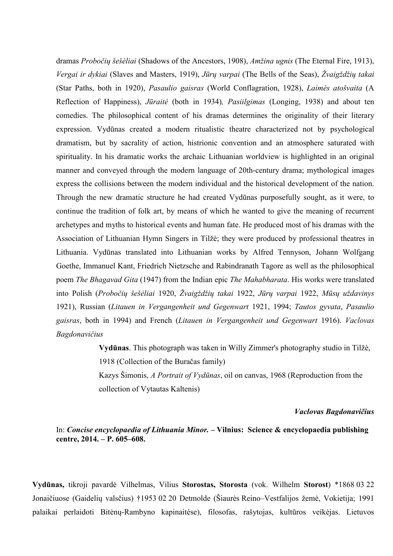dramas *Probočių šešėliai* (Shadows of the Ancestors, 1908), *Amžina ugnis* (The Eternal Fire, 1913), *Vergai ir dykiai* (Slaves and Masters, 1919), *Jūrų varpai* (The Bells of the Seas), *Žvaigždžių takai* (Star Paths, both in 1920), *Pasaulio gaisras* (World Conflagration, 1928), *Laimės atošvaita* (A Reflection of Happiness), *Jūraitė* (both in 1934)*, Pasiilgimas* (Longing, 1938) and about ten comedies. The philosophical content of his dramas determines the originality of their literary expression. Vydūnas created a modern ritualistic theatre characterized not by psychological dramatism, but by sacrality of action, histrionic convention and an atmosphere saturated with spirituality. In his dramatic works the archaic Lithuanian worldview is highlighted in an original manner and conveyed through the modern language of 20th-century drama; mythological images express the collisions between the modern individual and the historical development of the nation. Through the new dramatic structure he had created Vydūnas purposefully sought, as it were, to continue the tradition of folk art, by means of which he wanted to give the meaning of recurrent archetypes and myths to historical events and human fate. He produced most of his dramas with the Association of Lithuanian Hymn Singers in Tilžė; they were produced by professional theatres in Lithuania. Vydūnas translated into Lithuanian works by Alfred Tennyson, Johann Wolfgang Goethe, Immanuel Kant, Friedrich Nietzsche and Rabindranath Tagore as well as the philosophical poem *The Bhagavad Gita* (1947) from the Indian epic *The Mahabharata*. His works were translated into Polish (*Probočių šešėliai* 1920, *Žvaigždžių takai* 1922, *Jūrų varpai* 1922, *Mūsų uždavinys* 1921), Russian (*Litauen in Vergangenheit und Gegenwart* 1921, 1994; *Tautos gyvata*, *Pasaulio gaisras*, both in 1994) and French (*Litauen in Vergangenheit und Gegenwart* 1916). *Vaclovas Bagdonavičius* 

> **Vydūnas**. This photograph was taken in Willy Zimmer's photography studio in Tilžė, 1918 (Collection of the Buračas family)

Kazys Šimonis, *A Portrait of Vydūnas*, oil on canvas, 1968 (Reproduction from the collection of Vytautas Kaltenis)

## *Vaclovas Bagdonavičius*

## In: *Concise encyclopaedia of Lithuania Minor. –* **Vilnius: Science & encyclopaedia publishing centre, 2014. – P. 605–608.**

**Vydūnas,** tikroji pavardė Vilhelmas, Vilius **Storostas, Storosta** (vok. Wilhelm **Storost**) \*1868 03 22 Jonaičiuose (Gaidelių valsčius) †1953 02 20 Detmolde (Šiaurės Reino–Vestfalijos žemė, Vokietija; 1991 palaikai perlaidoti Bitėnų-Rambyno kapinaitėse), filosofas, rašytojas, kultūros veikėjas. Lietuvos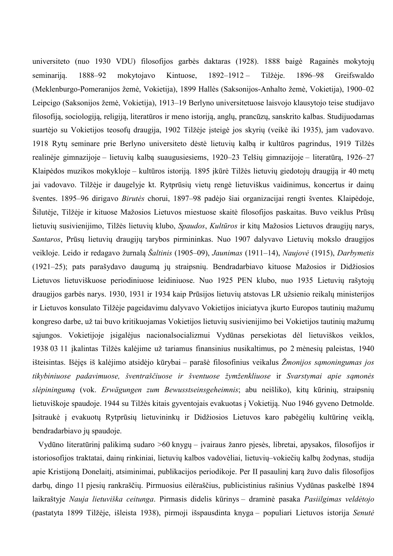universiteto (nuo 1930 VDU) filosofijos garbės daktaras (1928). 1888 baigė Ragainės mokytojų seminariją. 1888–92 mokytojavo Kintuose, 1892–1912 – Tilžėje. 1896–98 Greifswaldo (Meklenburgo-Pomeranijos žemė, Vokietija), 1899 Hallės (Saksonijos-Anhalto žemė, Vokietija), 1900–02 Leipcigo (Saksonijos žemė, Vokietija), 1913–19 Berlyno universitetuose laisvojo klausytojo teise studijavo filosofiją, sociologiją, religiją, literatūros ir meno istoriją, anglų, prancūzų, sanskrito kalbas. Studijuodamas suartėjo su Vokietijos teosofų draugija, 1902 Tilžėje įsteigė jos skyrių (veikė iki 1935), jam vadovavo. 1918 Rytų seminare prie Berlyno universiteto dėstė lietuvių kalbą ir kultūros pagrindus, 1919 Tilžės realinėje gimnazijoje – lietuvių kalbą suaugusiesiems, 1920–23 Telšių gimnazijoje – literatūrą, 1926–27 Klaipėdos muzikos mokykloje – kultūros istoriją. 1895 įkūrė Tilžės lietuvių giedotojų draugiją ir 40 metų jai vadovavo. Tilžėje ir daugelyje kt. Rytprūsių vietų rengė lietuviškus vaidinimus, koncertus ir dainų šventes. 1895–96 dirigavo *Birutės* chorui, 1897–98 padėjo šiai organizacijai rengti šventes*.* Klaipėdoje, Šilutėje, Tilžėje ir kituose Mažosios Lietuvos miestuose skaitė filosofijos paskaitas. Buvo veiklus Prūsų lietuvių susivienijimo, Tilžės lietuvių klubo, *Spaudos*, *Kultūros* ir kitų Mažosios Lietuvos draugijų narys, *Santaros*, Prūsų lietuvių draugijų tarybos pirmininkas. Nuo 1907 dalyvavo Lietuvių mokslo draugijos veikloje. Leido ir redagavo žurnalą *Šaltinis* (1905–09), *Jaunimas* (1911–14), *Naujovė* (1915), *Darbymetis* (1921–25); pats parašydavo daugumą jų straipsnių. Bendradarbiavo kituose Mažosios ir Didžiosios Lietuvos lietuviškuose periodiniuose leidiniuose. Nuo 1925 PEN klubo, nuo 1935 Lietuvių rašytojų draugijos garbės narys. 1930, 1931 ir 1934 kaip Prūsijos lietuvių atstovas LR užsienio reikalų ministerijos ir Lietuvos konsulato Tilžėje pageidavimu dalyvavo Vokietijos iniciatyva įkurto Europos tautinių mažumų kongreso darbe, už tai buvo kritikuojamas Vokietijos lietuvių susivienijimo bei Vokietijos tautinių mažumų sąjungos. Vokietijoje įsigalėjus nacionalsocializmui Vydūnas persekiotas dėl lietuviškos veiklos, 1938 03 11 įkalintas Tilžės kalėjime už tariamus finansinius nusikaltimus, po 2 mėnesių paleistas, 1940 išteisintas. Išėjęs iš kalėjimo atsidėjo kūrybai – parašė filosofinius veikalus *Žmonijos sąmoningumas jos tikybiniuose padavimuose, šventraščiuose ir šventuose žymženkliuose* ir *Svarstymai apie sąmonės slėpiningumą* (vok. *Erwägungen zum Bewusstseinsgeheimnis*; abu neišliko), kitų kūrinių, straipsnių lietuviškoje spaudoje. 1944 su Tilžės kitais gyventojais evakuotas į Vokietiją. Nuo 1946 gyveno Detmolde. Įsitraukė į evakuotų Rytprūsių lietuvininkų ir Didžiosios Lietuvos karo pabėgėlių kultūrinę veiklą, bendradarbiavo jų spaudoje.

Vydūno literatūrinį palikimą sudaro >60 knygų – įvairaus žanro pjesės, libretai, apysakos, filosofijos ir istoriosofijos traktatai, dainų rinkiniai, lietuvių kalbos vadovėliai, lietuvių–vokiečių kalbų žodynas, studija apie Kristijoną Donelaitį, atsiminimai, publikacijos periodikoje. Per II pasaulinį karą žuvo dalis filosofijos darbų, dingo 11 pjesių rankraščių. Pirmuosius eilėraščius, publicistinius rašinius Vydūnas paskelbė 1894 laikraštyje *Nauja lietuviška ceitunga*. Pirmasis didelis kūrinys – draminė pasaka *Pasiilgimas veldėtojo* (pastatyta 1899 Tilžėje, išleista 1938), pirmoji išspausdinta knyga – populiari Lietuvos istorija *Senutė*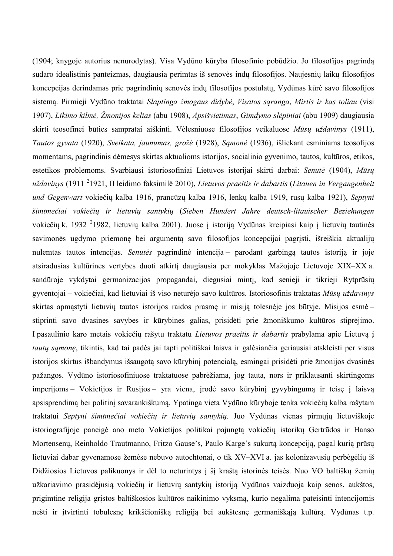(1904; knygoje autorius nenurodytas). Visa Vydūno kūryba filosofinio pobūdžio. Jo filosofijos pagrindą sudaro idealistinis panteizmas, daugiausia perimtas iš senovės indų filosofijos. Naujesnių laikų filosofijos koncepcijas derindamas prie pagrindinių senovės indų filosofijos postulatų, Vydūnas kūrė savo filosofijos sistemą. Pirmieji Vydūno traktatai *Slaptinga žmogaus didybė*, *Visatos sąranga*, *Mirtis ir kas toliau* (visi 1907), *Likimo kilmė, Žmonijos kelias* (abu 1908), *Apsišvietimas*, *Gimdymo slėpiniai* (abu 1909) daugiausia skirti teosofinei būties sampratai aiškinti. Vėlesniuose filosofijos veikaluose *Mūsų uždavinys* (1911), *Tautos gyvata* (1920), *Sveikata, jaunumas, grožė* (1928), *Sąmonė* (1936), išliekant esminiams teosofijos momentams, pagrindinis dėmesys skirtas aktualioms istorijos, socialinio gyvenimo, tautos, kultūros, etikos, estetikos problemoms. Svarbiausi istoriosofiniai Lietuvos istorijai skirti darbai: *Senutė* (1904), *Mūsų uždavinys* (1911 <sup>2</sup> 1921, II leidimo faksimilė 2010), *Lietuvos praeitis ir dabartis* (*Litauen in Vergangenheit und Gegenwart* vokiečių kalba 1916, prancūzų kalba 1916, lenkų kalba 1919, rusų kalba 1921), *Septyni šimtmečiai vokiečių ir lietuvių santykių* (*Sieben Hundert Jahre deutsch-litauischer Beziehungen*  vokiečių k. 1932<sup>2</sup>1982, lietuvių kalba 2001). Juose į istoriją Vydūnas kreipiasi kaip į lietuvių tautinės savimonės ugdymo priemonę bei argumentą savo filosofijos koncepcijai pagrįsti, išreiškia aktualijų nulemtas tautos intencijas. *Senutės* pagrindinė intencija – parodant garbingą tautos istoriją ir joje atsiradusias kultūrines vertybes duoti atkirtį daugiausia per mokyklas Mažojoje Lietuvoje XIX–XX a. sandūroje vykdytai germanizacijos propagandai, diegusiai minti, kad senieji ir tikrieji Rytprūsių gyventojai – vokiečiai, kad lietuviai iš viso neturėjo savo kultūros. Istoriosofinis traktatas *Mūsų uždavinys*  skirtas apmąstyti lietuvių tautos istorijos raidos prasmę ir misiją tolesnėje jos būtyje. Misijos esmė – stiprinti savo dvasines savybes ir kūrybines galias, prisidėti prie žmoniškumo kultūros stiprėjimo. I pasaulinio karo metais vokiečių rašytu traktatu *Lietuvos praeitis ir dabartis* prabylama apie Lietuvą į *tautų sąmonę*, tikintis, kad tai padės jai tapti politiškai laisva ir galėsiančia geriausiai atskleisti per visus istorijos skirtus išbandymus išsaugotą savo kūrybinį potencialą, esmingai prisidėti prie žmonijos dvasinės pažangos. Vydūno istoriosofiniuose traktatuose pabrėžiama, jog tauta, nors ir priklausanti skirtingoms imperijoms – Vokietijos ir Rusijos – yra viena, įrodė savo kūrybinį gyvybingumą ir teisę į laisvą apsisprendimą bei politinį savarankiškumą. Ypatinga vieta Vydūno kūryboje tenka vokiečių kalba rašytam traktatui *Septyni šimtmečiai vokiečių ir lietuvių santykių.* Juo Vydūnas vienas pirmųjų lietuviškoje istoriografijoje paneigė ano meto Vokietijos politikai pajungtą vokiečių istorikų Gertrūdos ir Hanso Mortensenų, Reinholdo Trautmanno, Fritzo Gause's, Paulo Karge's sukurtą koncepciją, pagal kurią prūsų lietuviai dabar gyvenamose žemėse nebuvo autochtonai, o tik XV–XVI a. jas kolonizavusių perbėgėlių iš Didžiosios Lietuvos palikuonys ir dėl to neturintys į šį kraštą istorinės teisės. Nuo VO baltiškų žemių užkariavimo prasidėjusią vokiečių ir lietuvių santykių istoriją Vydūnas vaizduoja kaip senos, aukštos, prigimtine religija grįstos baltiškosios kultūros naikinimo vyksmą, kurio negalima pateisinti intencijomis nešti ir įtvirtinti tobulesnę krikščionišką religiją bei aukštesnę germaniškąją kultūrą. Vydūnas t.p.